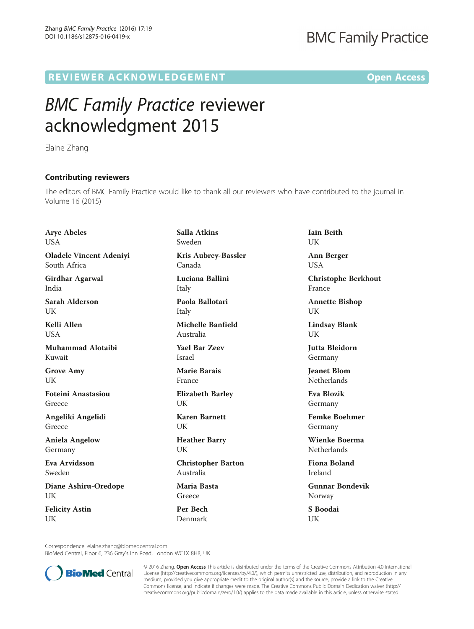## **BMC Family Practice**

## R EVI EW E R ACKNOW L EDG EM EN T Open Access

## BMC Family Practice reviewer acknowledgment 2015

Elaine Zhang

## Contributing reviewers

The editors of BMC Family Practice would like to thank all our reviewers who have contributed to the journal in Volume 16 (2015)

Arye Abeles USA Oladele Vincent Adeniyi South Africa

Girdhar Agarwal India

Sarah Alderson **UK** 

Kelli Allen **USA** 

Muhammad Alotaibi Kuwait

Grove Amy **I** IK

Foteini Anastasiou Greece

Angeliki Angelidi Greece

Aniela Angelow Germany

Eva Arvidsson Sweden

Diane Ashiru-Oredope UK

Felicity Astin **UK** 

Salla Atkins Sweden Kris Aubrey-Bassler Canada Luciana Ballini Italy Paola Ballotari Italy Michelle Banfield Australia Yael Bar Zeev Israel Marie Barais France Elizabeth Barley UK Karen Barnett **IK** Heather Barry UK Christopher Barton Australia Maria Basta Greece Per Bech Denmark

Iain Beith UK Ann Berger USA

Christophe Berkhout France

Annette Bishop UK

Lindsay Blank **I** IK

Jutta Bleidorn Germany

Jeanet Blom **Netherlands** 

Eva Blozik Germany

Femke Boehmer Germany

Wienke Boerma **Netherlands** 

Fiona Boland Ireland

Gunnar Bondevik Norway

S Boodai UK

Correspondence: [elaine.zhang@biomedcentral.com](mailto:elaine.zhang@biomedcentral.com)

BioMed Central, Floor 6, 236 Gray's Inn Road, London WC1X 8HB, UK



© 2016 Zhang. Open Access This article is distributed under the terms of the Creative Commons Attribution 4.0 International License ([http://creativecommons.org/licenses/by/4.0/\)](http://creativecommons.org/licenses/by/4.0/), which permits unrestricted use, distribution, and reproduction in any medium, provided you give appropriate credit to the original author(s) and the source, provide a link to the Creative Commons license, and indicate if changes were made. The Creative Commons Public Domain Dedication waiver ([http://](http://creativecommons.org/publicdomain/zero/1.0/) [creativecommons.org/publicdomain/zero/1.0/\)](http://creativecommons.org/publicdomain/zero/1.0/) applies to the data made available in this article, unless otherwise stated.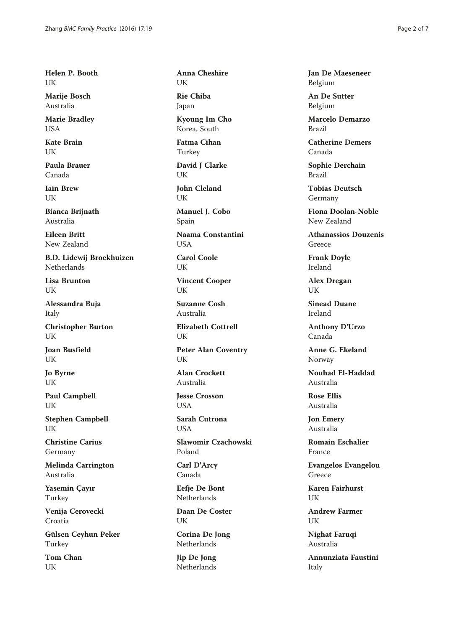Helen P. Booth UK

Marije Bosch Australia

Marie Bradley USA

Kate Brain UK

Paula Brauer Canada

Iain Brew UK

Bianca Brijnath Australia

Eileen Britt New Zealand

B.D. Lidewij Broekhuizen Netherlands

Lisa Brunton UK

Alessandra Buja Italy

Christopher Burton UK

Joan Busfield UK

Jo Byrne UK

Paul Campbell UK

Stephen Campbell UK

Christine Carius Germany

Melinda Carrington Australia

Yasemin Çayır Turkey

Venija Cerovecki Croatia

Gülsen Ceyhun Peker Turkey

Tom Chan UK

Anna Cheshire UK

Rie Chiba Japan

Kyoung Im Cho Korea, South

Fatma Cihan Turkey

David J Clarke UK

John Cleland UK

Manuel J. Cobo Spain

Naama Constantini **USA** 

Carol Coole UK

Vincent Cooper UK

Suzanne Cosh Australia

Elizabeth Cottrell UK

Peter Alan Coventry UK

Alan Crockett Australia

Jesse Crosson **USA** 

Sarah Cutrona **USA** 

Slawomir Czachowski Poland

Carl D'Arcy Canada

Eefje De Bont Netherlands

Daan De Coster UK

Corina De Jong Netherlands

Jip De Jong **Netherlands**  Jan De Maeseneer Belgium

An De Sutter Belgium

Marcelo Demarzo Brazil

Catherine Demers Canada

Sophie Derchain Brazil

Tobias Deutsch Germany

Fiona Doolan-Noble New Zealand

Athanassios Douzenis Greece

Frank Doyle Ireland

Alex Dregan UK

Sinead Duane Ireland

Anthony D'Urzo Canada

Anne G. Ekeland Norway

Nouhad El-Haddad Australia

Rose Ellis Australia

Jon Emery Australia

Romain Eschalier France

Evangelos Evangelou Greece

Karen Fairhurst UK

Andrew Farmer UK

Nighat Faruqi Australia

Annunziata Faustini Italy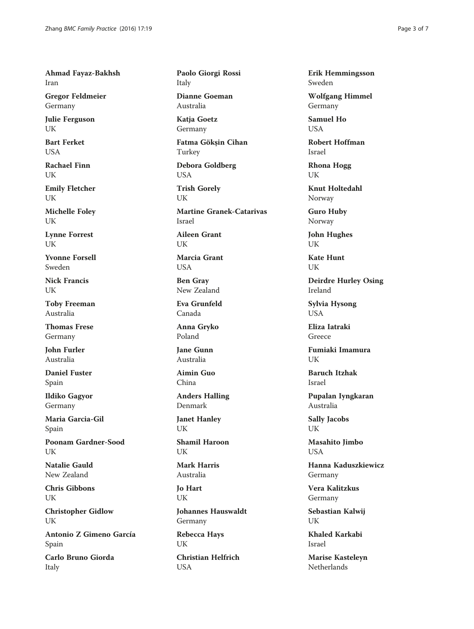Ahmad Fayaz-Bakhsh Iran

Gregor Feldmeier Germany

Julie Ferguson UK

Bart Ferket **USA** 

Rachael Finn UK

Emily Fletcher UK

Michelle Foley UK

Lynne Forrest UK

Yvonne Forsell Sweden

Nick Francis UK

Toby Freeman Australia

Thomas Frese Germany

John Furler Australia

Daniel Fuster Spain

Ildiko Gagyor Germany

Maria Garcia-Gil Spain

Poonam Gardner-Sood UK

Natalie Gauld New Zealand

Chris Gibbons UK

Christopher Gidlow UK

Antonio Z Gimeno García Spain

Carlo Bruno Giorda Italy

Paolo Giorgi Rossi Italy

Dianne Goeman Australia

Katja Goetz Germany

Fatma Gökşin Cihan Turkey

Debora Goldberg USA

Trish Gorely UK

Martine Granek-Catarivas Israel

Aileen Grant UK

Marcia Grant USA

Ben Gray New Zealand

Eva Grunfeld Canada

Anna Gryko Poland

Jane Gunn Australia

Aimin Guo China

Anders Halling Denmark

Janet Hanley UK

Shamil Haroon UK

Mark Harris Australia

Jo Hart UK

Johannes Hauswaldt Germany Rebecca Hays

UK Christian Helfrich

USA

Erik Hemmingsson Sweden

Wolfgang Himmel Germany

Samuel Ho **USA** 

Robert Hoffman Israel

Rhona Hogg UK

Knut Holtedahl Norway

Guro Huby Norway

John Hughes UK

Kate Hunt UK

Deirdre Hurley Osing Ireland

Sylvia Hysong **USA** 

Eliza Iatraki Greece

Fumiaki Imamura UK

Baruch Itzhak Israel

Pupalan Iyngkaran Australia

Sally Jacobs UK

Masahito Jimbo **USA** 

Hanna Kaduszkiewicz Germany

Vera Kalitzkus Germany

Sebastian Kalwij UK

Khaled Karkabi Israel

Marise Kasteleyn Netherlands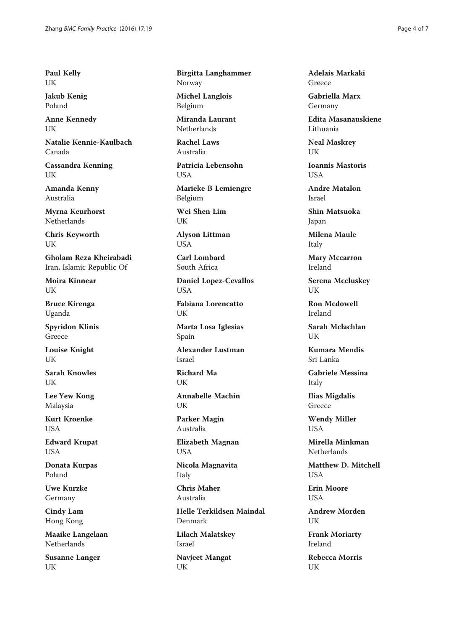Paul Kelly UK

Jakub Kenig Poland

Anne Kennedy UK

Natalie Kennie-Kaulbach Canada

Cassandra Kenning UK

Amanda Kenny Australia

Myrna Keurhorst Netherlands

Chris Keyworth UK

Gholam Reza Kheirabadi Iran, Islamic Republic Of

Moira Kinnear UK

Bruce Kirenga Uganda

Spyridon Klinis Greece

Louise Knight I IK

Sarah Knowles UK

Lee Yew Kong Malaysia

Kurt Kroenke USA

Edward Krupat USA

Donata Kurpas Poland

Uwe Kurzke Germany

Cindy Lam Hong Kong

Maaike Langelaan Netherlands

Susanne Langer UK

Birgitta Langhammer Norway

Michel Langlois Belgium

Miranda Laurant Netherlands

Rachel Laws Australia

Patricia Lebensohn **USA** 

Marieke B Lemiengre Belgium

Wei Shen Lim UK

Alyson Littman USA

Carl Lombard South Africa

Daniel Lopez-Cevallos USA

Fabiana Lorencatto UK

Marta Losa Iglesias Spain

Alexander Lustman Israel

Richard Ma UK

Annabelle Machin UK

Parker Magin Australia

Elizabeth Magnan USA

Nicola Magnavita Italy

Chris Maher Australia

Helle Terkildsen Maindal Denmark

Lilach Malatskey Israel

Navjeet Mangat UK

Adelais Markaki Greece

Gabriella Marx Germany

Edita Masanauskiene Lithuania

Neal Maskrey UK

Ioannis Mastoris **USA** 

Andre Matalon Israel

Shin Matsuoka Japan

Milena Maule Italy

Mary Mccarron Ireland

Serena Mccluskey UK

Ron Mcdowell Ireland

Sarah Mclachlan UK

Kumara Mendis Sri Lanka

Gabriele Messina Italy

Ilias Migdalis Greece

Wendy Miller **USA** 

Mirella Minkman Netherlands

Matthew D. Mitchell **USA** 

Erin Moore **USA** 

Andrew Morden UK

Frank Moriarty Ireland

Rebecca Morris UK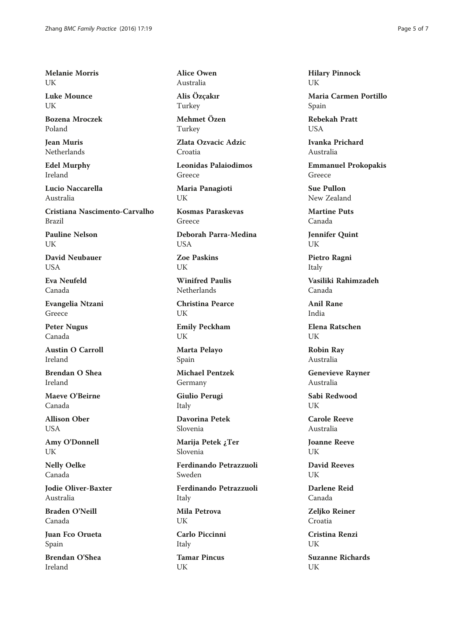Melanie Morris UK

Luke Mounce UK

Bozena Mroczek Poland

Jean Muris Netherlands

Edel Murphy Ireland

Lucio Naccarella Australia

Cristiana Nascimento-Carvalho Brazil

Pauline Nelson UK

David Neubauer **USA** 

Eva Neufeld Canada

Evangelia Ntzani Greece

Peter Nugus Canada

Austin O Carroll Ireland

Brendan O Shea Ireland

Maeve O'Beirne Canada

Allison Ober USA

Amy O'Donnell UK

Nelly Oelke Canada

Jodie Oliver-Baxter Australia

Braden O'Neill Canada

Juan Fco Orueta Spain

Brendan O'Shea Ireland

Alice Owen Australia

Alis Özçakır Turkey

Mehmet Özen Turkey

Zlata Ozvacic Adzic Croatia

Leonidas Palaiodimos Greece

Maria Panagioti UK

Kosmas Paraskevas Greece

Deborah Parra-Medina USA

Zoe Paskins UK

Winifred Paulis Netherlands

Christina Pearce UK

Emily Peckham UK

Marta Pelayo Spain

Michael Pentzek Germany

Giulio Perugi Italy

Davorina Petek Slovenia

Marija Petek ¿Ter Slovenia

Ferdinando Petrazzuoli Sweden

Ferdinando Petrazzuoli Italy

Mila Petrova UK

Carlo Piccinni Italy

Tamar Pincus UK

Hilary Pinnock UK

Maria Carmen Portillo Spain

Rebekah Pratt **USA** 

Ivanka Prichard Australia

Emmanuel Prokopakis Greece

Sue Pullon New Zealand

Martine Puts Canada

Jennifer Quint UK

Pietro Ragni Italy

Vasiliki Rahimzadeh Canada

Anil Rane India

Elena Ratschen UK

Robin Ray Australia

Genevieve Rayner Australia

Sabi Redwood UK

Carole Reeve Australia

Joanne Reeve UK

David Reeves UK

Darlene Reid Canada

Zeljko Reiner Croatia

Cristina Renzi UK

Suzanne Richards UK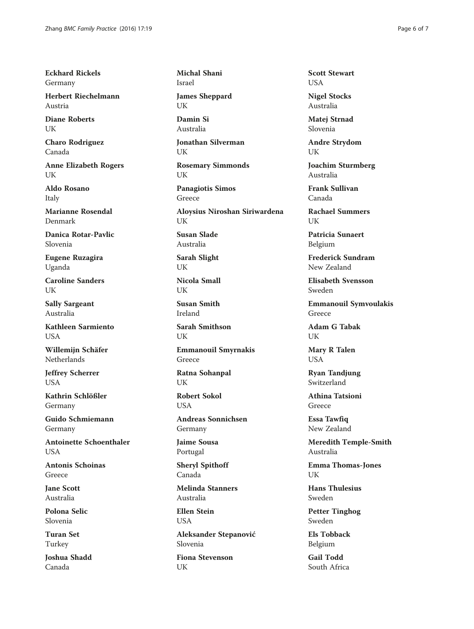Eckhard Rickels Germany

Herbert Riechelmann Austria

Diane Roberts UK

Charo Rodriguez Canada

Anne Elizabeth Rogers UK

Aldo Rosano Italy

Marianne Rosendal Denmark

Danica Rotar-Pavlic Slovenia

Eugene Ruzagira Uganda

Caroline Sanders UK

Sally Sargeant Australia

Kathleen Sarmiento USA

Willemijn Schäfer Netherlands

Jeffrey Scherrer USA

Kathrin Schlößler Germany

Guido Schmiemann Germany

Antoinette Schoenthaler **USA** 

Antonis Schoinas Greece

Jane Scott Australia

Polona Selic Slovenia

Turan Set Turkey

Joshua Shadd Canada

Michal Shani Israel

James Sheppard UK

Damin Si Australia

Jonathan Silverman UK

Rosemary Simmonds UK

Panagiotis Simos Greece

Aloysius Niroshan Siriwardena UK

Susan Slade Australia

Sarah Slight UK

Nicola Small UK

Susan Smith Ireland

Sarah Smithson UK

Emmanouil Smyrnakis Greece

Ratna Sohanpal UK

Robert Sokol **USA** 

Andreas Sonnichsen Germany

Jaime Sousa Portugal

Sheryl Spithoff Canada

Melinda Stanners Australia

Ellen Stein USA

Aleksander Stepanović Slovenia

Fiona Stevenson UK

Scott Stewart USA

Nigel Stocks Australia

Matej Strnad Slovenia

Andre Strydom UK

Joachim Sturmberg Australia

Frank Sullivan Canada

Rachael Summers UK

Patricia Sunaert Belgium

Frederick Sundram New Zealand

Elisabeth Svensson Sweden

Emmanouil Symvoulakis Greece

Adam G Tabak UK

Mary R Talen USA

Ryan Tandjung Switzerland

Athina Tatsioni Greece

Essa Tawfiq New Zealand

Meredith Temple-Smith Australia

Emma Thomas-Jones UK

Hans Thulesius Sweden

Petter Tinghog Sweden

Els Tobback Belgium

Gail Todd South Africa